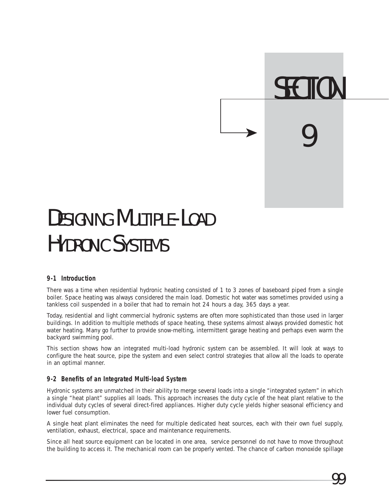

## DESIGNING MUITIPLE-LOAD HYDRONIC SYSTEMS

#### **9-1 Introduction**

There was a time when residential hydronic heating consisted of 1 to 3 zones of baseboard piped from a single boiler. Space heating was always considered the main load. Domestic hot water was sometimes provided using a tankless coil suspended in a boiler that had to remain hot 24 hours a day, 365 days a year.

Today, residential and light commercial hydronic systems are often more sophisticated than those used in larger buildings. In addition to multiple methods of space heating, these systems almost always provided domestic hot water heating. Many go further to provide snow-melting, intermittent garage heating and perhaps even warm the backyard swimming pool.

This section shows how an integrated multi-load hydronic system can be assembled. It will look at ways to configure the heat source, pipe the system and even select control strategies that allow all the loads to operate in an optimal manner.

#### **9-2 Benefits of an Integrated Multi-load System**

Hydronic systems are unmatched in their ability to merge several loads into a single "integrated system" in which a single "heat plant" supplies all loads. This approach increases the duty cycle of the heat plant relative to the individual duty cycles of several direct-fired appliances. Higher duty cycle yields higher seasonal efficiency and lower fuel consumption.

A single heat plant eliminates the need for multiple dedicated heat sources, each with their own fuel supply, ventilation, exhaust, electrical, space and maintenance requirements.

Since all heat source equipment can be located in one area, service personnel do not have to move throughout the building to access it. The mechanical room can be properly vented. The chance of carbon monoxide spillage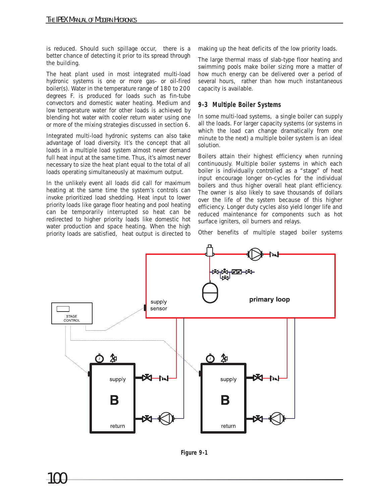is reduced. Should such spillage occur, there is a better chance of detecting it prior to its spread through the building.

The heat plant used in most integrated multi-load hydronic systems is one or more gas- or oil-fired boiler(s). Water in the temperature range of 180 to 200 degrees F. is produced for loads such as fin-tube convectors and domestic water heating. Medium and low temperature water for other loads is achieved by blending hot water with cooler return water using one or more of the mixing strategies discussed in section 6.

Integrated multi-load hydronic systems can also take advantage of load diversity. It's the concept that all loads in a multiple load system almost never demand full heat input at the same time. Thus, it's almost never necessary to size the heat plant equal to the total of all loads operating simultaneously at maximum output.

In the unlikely event all loads did call for maximum heating at the same time the system's controls can invoke prioritized load shedding. Heat input to lower priority loads like garage floor heating and pool heating can be temporarily interrupted so heat can be redirected to higher priority loads like domestic hot water production and space heating. When the high priority loads are satisfied, heat output is directed to

making up the heat deficits of the low priority loads.

The large thermal mass of slab-type floor heating and swimming pools make boiler sizing more a matter of how much energy can be delivered over a period of several hours, rather than how much instantaneous capacity is available.

#### **9-3 Multiple Boiler Systems**

In some multi-load systems, a single boiler can supply all the loads. For larger capacity systems (or systems in which the load can change dramatically from one minute to the next) a multiple boiler system is an ideal solution.

Boilers attain their highest efficiency when running continuously. Multiple boiler systems in which each boiler is individually controlled as a "stage" of heat input encourage longer on-cycles for the individual boilers and thus higher overall heat plant efficiency. The owner is also likely to save thousands of dollars over the life of the system because of this higher efficiency. Longer duty cycles also yield longer life and reduced maintenance for components such as hot surface igniters, oil burners and relays.

Other benefits of multiple staged boiler systems



**Figure 9-1**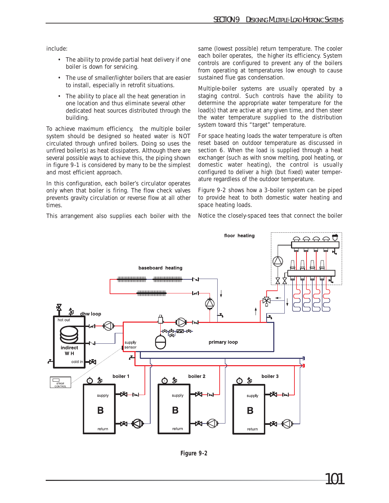include:

- The ability to provide partial heat delivery if one boiler is down for servicing.
- The use of smaller/lighter boilers that are easier to install, especially in retrofit situations.
- The ability to place all the heat generation in one location and thus eliminate several other dedicated heat sources distributed through the building.

To achieve maximum efficiency, the multiple boiler system should be designed so heated water is NOT circulated through unfired boilers. Doing so uses the unfired boiler(s) as heat dissipaters. Although there are several possible ways to achieve this, the piping shown in figure 9-1 is considered by many to be the simplest and most efficient approach.

In this configuration, each boiler's circulator operates only when that boiler is firing. The flow check valves prevents gravity circulation or reverse flow at all other times.

This arrangement also supplies each boiler with the

same (lowest possible) return temperature. The cooler each boiler operates, the higher its efficiency. System controls are configured to prevent any of the boilers from operating at temperatures low enough to cause sustained flue gas condensation.

Multiple-boiler systems are usually operated by a staging control. Such controls have the ability to determine the appropriate water temperature for the load(s) that are active at any given time, and then steer the water temperature supplied to the distribution system toward this "target" temperature.

For space heating loads the water temperature is often reset based on outdoor temperature as discussed in section 6. When the load is supplied through a heat exchanger (such as with snow melting, pool heating, or domestic water heating), the control is usually configured to deliver a high (but fixed) water temperature regardless of the outdoor temperature.

Figure 9-2 shows how a 3-boiler system can be piped to provide heat to both domestic water heating and space heating loads.

Notice the closely-spaced tees that connect the boiler



**Figure 9-2**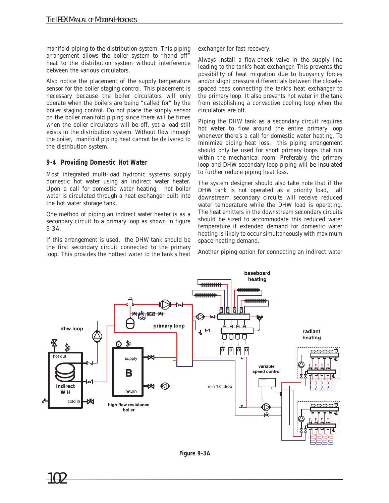manifold piping to the distribution system. This piping arrangement allows the boiler system to "hand off" heat to the distribution system without interference between the various circulators.

Also notice the placement of the supply temperature sensor for the boiler staging control. This placement is necessary because the boiler circulators will only operate when the boilers are being "called for" by the boiler staging control. Do not place the supply sensor on the boiler manifold piping since there will be times when the boiler circulators will be off, yet a load still exists in the distribution system. Without flow through the boiler, manifold piping heat cannot be delivered to the distribution system.

#### **9-4 Providing Domestic Hot Water**

Most integrated multi-load hydronic systems supply domestic hot water using an indirect water heater. Upon a call for domestic water heating, hot boiler water is circulated through a heat exchanger built into the hot water storage tank.

One method of piping an indirect water heater is as a secondary circuit to a primary loop as shown in figure 9-3A.

If this arrangement is used, the DHW tank should be the first secondary circuit connected to the primary loop. This provides the hottest water to the tank's heat exchanger for fast recovery.

Always install a flow-check valve in the supply line leading to the tank's heat exchanger. This prevents the possibility of heat migration due to buoyancy forces and/or slight pressure differentials between the closelyspaced tees connecting the tank's heat exchanger to the primary loop. It also prevents hot water in the tank from establishing a convective cooling loop when the circulators are off.

Piping the DHW tank as a secondary circuit requires hot water to flow around the entire primary loop whenever there's a call for domestic water heating. To minimize piping heat loss, this piping arrangement should only be used for short primary loops that run within the mechanical room. Preferably, the primary loop and DHW secondary loop piping will be insulated to further reduce piping heat loss.

The system designer should also take note that if the DHW tank is not operated as a priority load, all downstream secondary circuits will receive reduced water temperature while the DHW load is operating. The heat emitters in the downstream secondary circuits should be sized to accommodate this reduced water temperature if extended demand for domestic water heating is likely to occur simultaneously with maximum space heating demand.

Another piping option for connecting an indirect water

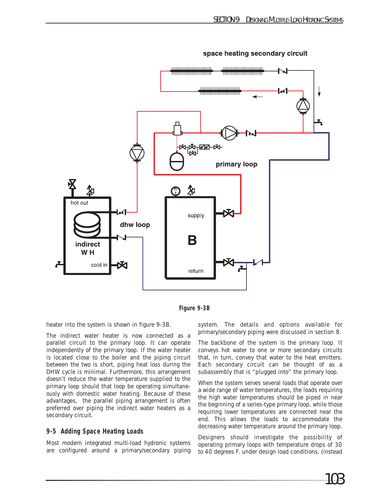

space heating secondary circuit



heater into the system is shown in figure 9-3B.

The indirect water heater is now connected as a parallel circuit to the primary loop. It can operate independently of the primary loop. If the water heater is located close to the boiler and the piping circuit between the two is short, piping heat loss during the DHW cycle is minimal. Furthermore, this arrangement doesn't reduce the water temperature supplied to the primary loop should that loop be operating simultaneously with domestic water heating. Because of these advantages, the parallel piping arrangement is often preferred over piping the indirect water heaters as a secondary circuit.

#### **9-5 Adding Space Heating Loads**

Most modern integrated multi-load hydronic systems are configured around a primary/secondary piping

system. The details and options available for primary/secondary piping were discussed in section 8.

The backbone of the system is the primary loop. It conveys hot water to one or more secondary circuits that, in turn, convey that water to the heat emitters. Each secondary circuit can be thought of as a subassembly that is "plugged into" the primary loop.

When the system serves several loads that operate over a wide range of water temperatures, the loads requiring the high water temperatures should be piped in near the beginning of a series-type primary loop, while those requiring lower temperatures are connected near the end. This allows the loads to accommodate the decreasing water temperature around the primary loop.

Designers should investigate the possibility of operating primary loops with temperature drops of 30 to 40 degrees F. under design load conditions, (instead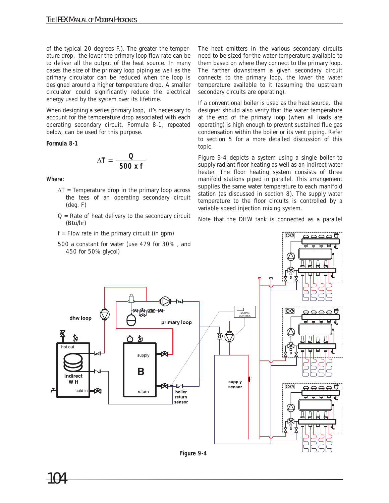of the typical 20 degrees F.). The greater the temperature drop, the lower the primary loop flow rate can be to deliver all the output of the heat source. In many cases the size of the primary loop piping as well as the primary circulator can be reduced when the loop is designed around a higher temperature drop. A smaller circulator could significantly reduce the electrical energy used by the system over its lifetime.

When designing a series primary loop, it's necessary to account for the temperature drop associated with each operating secondary circuit. Formula 8-1, repeated below, can be used for this purpose.

#### **Formula 8-1**

$$
\Delta T = \frac{Q}{500 \text{ x f}}
$$

**Where:**

- $\Delta T$  = Temperature drop in the primary loop across the tees of an operating secondary circuit (deg. F)
- $Q =$  Rate of heat delivery to the secondary circuit (Btu/hr)
- $f = Flow$  rate in the primary circuit (in gpm)

The heat emitters in the various secondary circuits need to be sized for the water temperature available to them based on where they connect to the primary loop. The farther downstream a given secondary circuit connects to the primary loop, the lower the water temperature available to it (assuming the upstream secondary circuits are operating).

If a conventional boiler is used as the heat source, the designer should also verify that the water temperature at the end of the primary loop (when all loads are operating) is high enough to prevent sustained flue gas condensation within the boiler or its vent piping. Refer to section 5 for a more detailed discussion of this topic.

Figure 9-4 depicts a system using a single boiler to supply radiant floor heating as well as an indirect water heater. The floor heating system consists of three manifold stations piped in parallel. This arrangement supplies the same water temperature to each manifold station (as discussed in section 8). The supply water temperature to the floor circuits is controlled by a variable speed injection mixing system.

Note that the DHW tank is connected as a parallel



**Figure 9-4**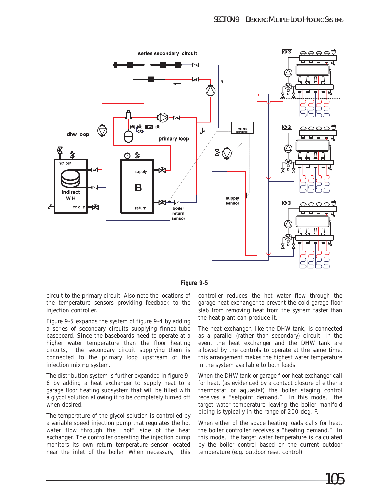

**Figure 9-5**

circuit to the primary circuit. Also note the locations of the temperature sensors providing feedback to the injection controller.

Figure 9-5 expands the system of figure 9-4 by adding a series of secondary circuits supplying finned-tube baseboard. Since the baseboards need to operate at a higher water temperature than the floor heating circuits, the secondary circuit supplying them is connected to the primary loop upstream of the injection mixing system.

The distribution system is further expanded in figure 9- 6 by adding a heat exchanger to supply heat to a garage floor heating subsystem that will be filled with a glycol solution allowing it to be completely turned off when desired.

The temperature of the glycol solution is controlled by a variable speed injection pump that regulates the hot water flow through the "hot" side of the heat exchanger. The controller operating the injection pump monitors its own return temperature sensor located near the inlet of the boiler. When necessary, this controller reduces the hot water flow through the garage heat exchanger to prevent the cold garage floor slab from removing heat from the system faster than the heat plant can produce it.

The heat exchanger, like the DHW tank, is connected as a parallel (rather than secondary) circuit. In the event the heat exchanger and the DHW tank are allowed by the controls to operate at the same time, this arrangement makes the highest water temperature in the system available to both loads.

When the DHW tank or garage floor heat exchanger call for heat, (as evidenced by a contact closure of either a thermostat or aquastat) the boiler staging control receives a "setpoint demand." In this mode, the target water temperature leaving the boiler manifold piping is typically in the range of 200 deg. F.

When either of the space heating loads calls for heat, the boiler controller receives a "heating demand." In this mode, the target water temperature is calculated by the boiler control based on the current outdoor temperature (e.g. outdoor reset control).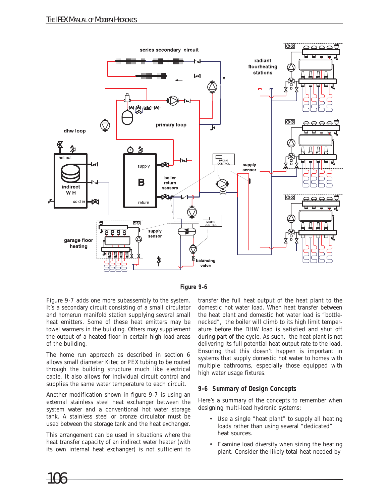

**Figure 9-6**

Figure 9-7 adds one more subassembly to the system. It's a secondary circuit consisting of a small circulator and homerun manifold station supplying several small heat emitters. Some of these heat emitters may be towel warmers in the building. Others may supplement the output of a heated floor in certain high load areas of the building.

The home run approach as described in section 6 allows small diameter Kitec or PEX tubing to be routed through the building structure much like electrical cable. It also allows for individual circuit control and supplies the same water temperature to each circuit.

Another modification shown in figure 9-7 is using an external stainless steel heat exchanger between the system water and a conventional hot water storage tank. A stainless steel or bronze circulator must be used between the storage tank and the heat exchanger.

This arrangement can be used in situations where the heat transfer capacity of an indirect water heater (with its own internal heat exchanger) is not sufficient to

transfer the full heat output of the heat plant to the domestic hot water load. When heat transfer between the heat plant and domestic hot water load is "bottlenecked", the boiler will climb to its high limit temperature before the DHW load is satisfied and shut off during part of the cycle. As such, the heat plant is not delivering its full potential heat output rate to the load. Ensuring that this doesn't happen is important in systems that supply domestic hot water to homes with multiple bathrooms, especially those equipped with high water usage fixtures.

#### **9-6 Summary of Design Concepts**

Here's a summary of the concepts to remember when designing multi-load hydronic systems:

- Use a single "heat plant" to supply all heating loads rather than using several "dedicated" heat sources.
- Examine load diversity when sizing the heating plant. Consider the likely total heat needed by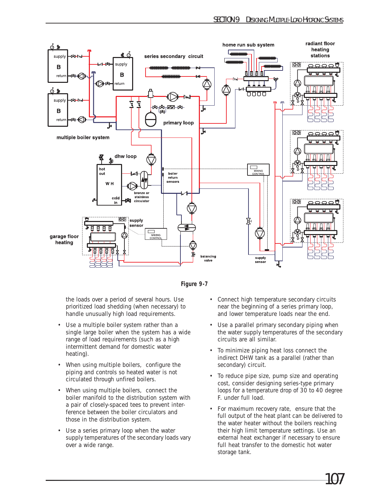



the loads over a period of several hours. Use prioritized load shedding (when necessary) to handle unusually high load requirements.

- Use a multiple boiler system rather than a single large boiler when the system has a wide range of load requirements (such as a high intermittent demand for domestic water heating).
- When using multiple boilers, configure the piping and controls so heated water is not circulated through unfired boilers.
- When using multiple boilers, connect the boiler manifold to the distribution system with a pair of closely-spaced tees to prevent interference between the boiler circulators and those in the distribution system.
- Use a series primary loop when the water supply temperatures of the secondary loads vary over a wide range.
- Connect high temperature secondary circuits near the beginning of a series primary loop, and lower temperature loads near the end.
- Use a parallel primary secondary piping when the water supply temperatures of the secondary circuits are all similar.
- To minimize piping heat loss connect the indirect DHW tank as a parallel (rather than secondary) circuit.
- To reduce pipe size, pump size and operating cost, consider designing series-type primary loops for a temperature drop of 30 to 40 degree F. under full load.
- For maximum recovery rate, ensure that the full output of the heat plant can be delivered to the water heater without the boilers reaching their high limit temperature settings. Use an external heat exchanger if necessary to ensure full heat transfer to the domestic hot water storage tank.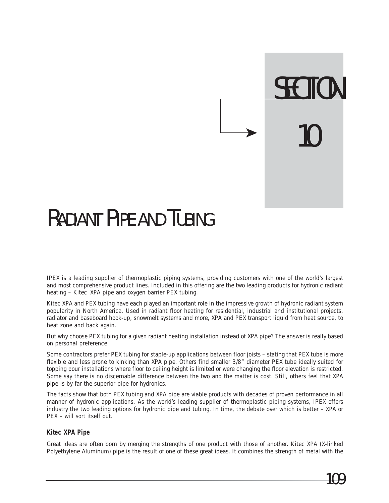# **SECTION** 10

### RADIANT PIPE AND TUBING

IPEX is a leading supplier of thermoplastic piping systems, providing customers with one of the world's largest and most comprehensive product lines. Included in this offering are the two leading products for hydronic radiant heating – Kitec XPA pipe and oxygen barrier PEX tubing.

Kitec XPA and PEX tubing have each played an important role in the impressive growth of hydronic radiant system popularity in North America. Used in radiant floor heating for residential, industrial and institutional projects, radiator and baseboard hook-up, snowmelt systems and more, XPA and PEX transport liquid from heat source, to heat zone and back again.

But why choose PEX tubing for a given radiant heating installation instead of XPA pipe? The answer is really based on personal preference.

Some contractors prefer PEX tubing for staple-up applications between floor joists – stating that PEX tube is more flexible and less prone to kinking than XPA pipe. Others find smaller 3/8" diameter PEX tube ideally suited for topping pour installations where floor to ceiling height is limited or were changing the floor elevation is restricted. Some say there is no discernable difference between the two and the matter is cost. Still, others feel that XPA pipe is by far the superior pipe for hydronics.

The facts show that both PEX tubing and XPA pipe are viable products with decades of proven performance in all manner of hydronic applications. As the world's leading supplier of thermoplastic piping systems, IPEX offers industry the two leading options for hydronic pipe and tubing. In time, the debate over which is better – XPA or PEX – will sort itself out.

#### **Kitec XPA Pipe**

Great ideas are often born by merging the strengths of one product with those of another. Kitec XPA (X-linked Polyethylene Aluminum) pipe is the result of one of these great ideas. It combines the strength of metal with the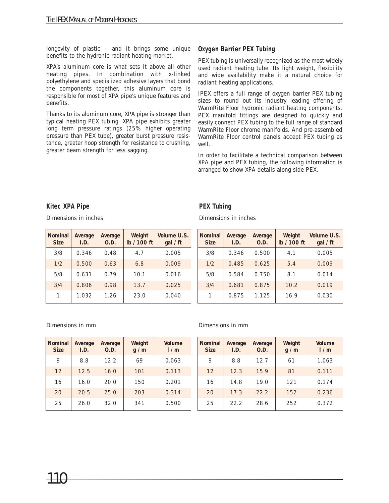longevity of plastic – and it brings some unique benefits to the hydronic radiant heating market.

XPA's aluminum core is what sets it above all other heating pipes. In combination with x-linked polyethylene and specialized adhesive layers that bond the components together, this aluminum core is responsible for most of XPA pipe's unique features and benefits.

Thanks to its aluminum core, XPA pipe is stronger than typical heating PEX tubing. XPA pipe exhibits greater long term pressure ratings (25% higher operating pressure than PEX tube), greater burst pressure resistance, greater hoop strength for resistance to crushing, greater beam strength for less sagging.

#### **Oxygen Barrier PEX Tubing**

PEX tubing is universally recognized as the most widely used radiant heating tube. Its light weight, flexibility and wide availability make it a natural choice for radiant heating applications.

IPEX offers a full range of oxygen barrier PEX tubing sizes to round out its industry leading offering of WarmRite Floor hydronic radiant heating components. PEX manifold fittings are designed to quickly and easily connect PEX tubing to the full range of standard WarmRite Floor chrome manifolds. And pre-assembled WarmRite Floor control panels accept PEX tubing as well.

In order to facilitate a technical comparison between XPA pipe and PEX tubing, the following information is arranged to show XPA details along side PEX.

#### **Kitec XPA Pipe**

Dimensions in inches

| <b>Nominal</b><br><b>Size</b> | Average<br>I.D. | Average<br>0.D. | Weight<br>lb / 100 ft | Volume U.S.<br>gal / ft |
|-------------------------------|-----------------|-----------------|-----------------------|-------------------------|
| 3/8                           | 0.346           | 0.48            | 4.7                   | 0.005                   |
| 1/2                           | 0.500           | 0.63            | 6.8                   | 0.009                   |
| 5/8                           | 0.79<br>0.631   |                 | 10.1                  | 0.016                   |
| 3/4                           | 0.806           | 0.98            | 13.7                  | 0.025                   |
| 1                             | 1.032           | 1.26            | 23.0                  | 0.040                   |

#### **PEX Tubing**

Dimensions in inches

| Nominal<br><b>Size</b> | Average<br>I.D. | Average<br>O.D. | Weight<br>lb / 100 ft | Volume U.S.<br>gal / ft |
|------------------------|-----------------|-----------------|-----------------------|-------------------------|
| 3/8                    | 0.346           | 0.500           | 4.1                   | 0.005                   |
| 1/2                    | 0.485           | 0.625           | 5.4                   | 0.009                   |
| 5/8                    | 0.584           | 0.750           | 8.1                   | 0.014                   |
| 3/4                    | 0.681           | 0.875           | 10.2                  | 0.019                   |
| 1                      | 0.875           | 1.125           | 16.9                  | 0.030                   |

| <b>Nominal</b><br><b>Size</b> | Average<br>I.D. | Average<br>0.D. | Weight<br>g/m | Volume<br>1/m |
|-------------------------------|-----------------|-----------------|---------------|---------------|
| 9                             | 8.8             | 12.2            | 69            | 0.063         |
| 12                            | 12.5            | 16.0            | 101           | 0.113         |
| 16                            | 16.0            | 20.0            | 150           | 0.201         |
| 20                            | 20.5            | 25.0            | 203           | 0.314         |
| 25                            | 26.0            | 32.0            | 341           | 0.500         |

#### Dimensions in mm Dimensions in mm

| <b>Nominal</b><br><b>Size</b> | Average<br>I.D. | Average<br>0.D. | Weight<br>g/m | Volume<br>1/m |
|-------------------------------|-----------------|-----------------|---------------|---------------|
| 9                             | 8.8             | 12.7            | 61            | 1.063         |
| 12                            | 12.3            | 15.9            | 81            | 0.111         |
| 16                            | 14.8            | 19.0            | 121           | 0.174         |
| 20                            | 17.3            | 22.2            | 152           | 0.236         |
| 25                            | 22.2            | 28.6            | 252           | 0.372         |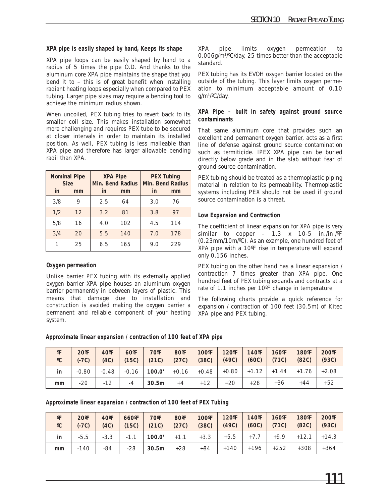#### **XPA pipe is easily shaped by hand, Keeps its shape**

XPA pipe loops can be easily shaped by hand to a radius of 5 times the pipe O.D. And thanks to the aluminum core XPA pipe maintains the shape that you bend it to – this is of great benefit when installing radiant heating loops especially when compared to PEX tubing. Larger pipe sizes may require a bending tool to achieve the minimum radius shown.

When uncoiled, PEX tubing tries to revert back to its smaller coil size. This makes installation somewhat more challenging and requires PEX tube to be secured at closer intervals in order to maintain its installed position. As well, PEX tubing is less malleable than XPA pipe and therefore has larger allowable bending radii than XPA.

| <b>Nominal Pipe</b><br><b>Size</b> |    |     | <b>XPA Pipe</b><br>Min. Bend Radius | <b>PEX Tubing</b><br><b>Min. Bend Radius</b> |     |  |
|------------------------------------|----|-----|-------------------------------------|----------------------------------------------|-----|--|
| in                                 | mm | in  | mm                                  | in                                           | mm  |  |
| 3/8                                | 9  | 2.5 | 64                                  | 3.0                                          | 76  |  |
| 1/2                                | 12 | 3.2 | 81                                  | 3.8                                          | 97  |  |
| 5/8                                | 16 | 4.0 | 102                                 | 4.5                                          | 114 |  |
| 3/4                                | 20 | 5.5 | 140                                 | 7.0                                          | 178 |  |
|                                    | 25 | 6.5 | 165                                 | 9.N                                          | 229 |  |

#### **Oxygen permeation**

Unlike barrier PEX tubing with its externally applied oxygen barrier XPA pipe houses an aluminum oxygen barrier permanently in between layers of plastic. This means that damage due to installation and construction is avoided making the oxygen barrier a permanent and reliable component of your heating system.

XPA pipe limits oxygen permeation to 0.006g/m3 /ºC/day, 25 times better than the acceptable standard.

PEX tubing has its EVOH oxygen barrier located on the outside of the tubing. This layer limits oxygen permeation to minimum acceptable amount of 0.10 g/m3 /ºC/day.

#### **XPA Pipe – built in safety against ground source contaminants**

That same aluminum core that provides such an excellent and permanent oxygen barrier, acts as a first line of defense against ground source contamination such as termiticide. IPEX XPA pipe can be buried directly below grade and in the slab without fear of ground source contamination.

PEX tubing should be treated as a thermoplastic piping material in relation to its permeability. Thermoplastic systems including PEX should not be used if ground source contamination is a threat.

#### **Low Expansion and Contraction**

The coefficient of linear expansion for XPA pipe is very similar to copper  $-$  1.3 x 10-5 in./in./ $\degree$ F (0.23mm/10m/ºC). As an example, one hundred feet of XPA pipe with a 10ºF rise in temperature will expand only 0.156 inches.

PEX tubing on the other hand has a linear expansion / contraction 7 times greater than XPA pipe. One hundred feet of PEX tubing expands and contracts at a rate of 1.1 inches per 10ºF change in temperature.

The following charts provide a quick reference for expansion / contraction of 100 feet (30.5m) of Kitec XPA pipe and PEX tubing.

**Approximate linear expansion / contraction of 100 feet of XPA pipe**

| $^{\circ}$ F<br>$\rm ^{o}C$ | $20^{\circ}F$<br>$(-7C)$ | $40^{\circ}F$<br>(4C) | $60^{\circ}F$<br>(15C) | $70^{\circ}$ F | $80^{\circ}$ F<br>$(21C)$ $(27C)$ | $100^{\circ}$ F<br>(38C) | $(49C)$ $(60C)$ $(71C)$                                                   | $120^{\circ}$ F   140 $^{\circ}$ F | $160^{\circ}$ F     | 180°F<br>(82C) | $200^{\circ}F$<br>(93C) |
|-----------------------------|--------------------------|-----------------------|------------------------|----------------|-----------------------------------|--------------------------|---------------------------------------------------------------------------|------------------------------------|---------------------|----------------|-------------------------|
| in                          | $-0.80$                  |                       |                        |                |                                   |                          | $-0.48$   $-0.16$   <b>100.0'</b>   $+0.16$   $+0.48$   $+0.80$   $+1.12$ |                                    | $+1.44$ +1.76 +2.08 |                |                         |
| mm                          | $-20$                    | $-12$                 | $-4$                   | $\vert$ 30.5m  | $+4$                              | $+12$                    | $+20$                                                                     | $+28$                              | $+36$               | $+44$          | $+52$                   |

**Approximate linear expansion / contraction of 100 feet of PEX Tubing**

| $\mathsf{P}$<br>$^{\circ}$ C | $20^{\circ}F$<br>$(-7C)$ | $40^{\circ}F$<br>(4C) | $660^{\circ}F$<br>(15C) | $70^{\circ}$ F | $180^{\circ}$ F<br>$(21C)$ $(27C)$ | 100°F<br>(38C) | 120°F   140°F  <br>$(49C)$ $(60C)$ $(71C)$ | $160^{\circ}$ F | 180°F<br>(82C) | 200°F<br>(93C) |
|------------------------------|--------------------------|-----------------------|-------------------------|----------------|------------------------------------|----------------|--------------------------------------------|-----------------|----------------|----------------|
| in                           |                          |                       |                         |                |                                    |                |                                            |                 |                |                |
| mm                           | $-140$                   | $-84$                 | $-28$                   | 30.5m          | $+128$                             | $+84$          | +140   +196                                | +252            | $+308$         | $+364$         |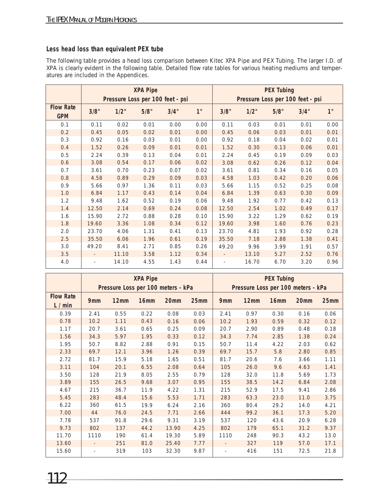#### **Less head loss than equivalent PEX tube**

The following table provides a head loss comparison between Kitec XPA Pipe and PEX Tubing. The larger I.D. of XPA is clearly evident in the following table. Detailed flow rate tables for various heating mediums and temperatures are included in the Appendices.

|                                |                          |       | <b>XPA Pipe</b> | Pressure Loss per 100 feet - psi |      | <b>PEX Tubing</b><br>Pressure Loss per 100 feet - psi |       |      |      |                 |
|--------------------------------|--------------------------|-------|-----------------|----------------------------------|------|-------------------------------------------------------|-------|------|------|-----------------|
| <b>Flow Rate</b><br><b>GPM</b> | 3/8"                     | 1/2"  | 5/8"            | 3/4"                             | 1"   | 3/8"                                                  | 1/2"  | 5/8" | 3/4" | 1 <sup>''</sup> |
| 0.1                            | 0.11                     | 0.02  | 0.01            | 0.00                             | 0.00 | 0.11                                                  | 0.03  | 0.01 | 0.01 | 0.00            |
| 0.2                            | 0.45                     | 0.05  | 0.02            | 0.01                             | 0.00 | 0.45                                                  | 0.06  | 0.03 | 0.01 | 0.01            |
| 0.3                            | 0.92                     | 0.16  | 0.03            | 0.01                             | 0.00 | 0.92                                                  | 0.18  | 0.04 | 0.02 | 0.01            |
| 0.4                            | 1.52                     | 0.26  | 0.09            | 0.01                             | 0.01 | 1.52                                                  | 0.30  | 0.13 | 0.06 | 0.01            |
| 0.5                            | 2.24                     | 0.39  | 0.13            | 0.04                             | 0.01 | 2.24                                                  | 0.45  | 0.19 | 0.09 | 0.03            |
| 0.6                            | 3.08                     | 0.54  | 0.17            | 0.06                             | 0.02 | 3.08                                                  | 0.62  | 0.26 | 0.12 | 0.04            |
| 0.7                            | 3.61                     | 0.70  | 0.23            | 0.07                             | 0.02 | 3.61                                                  | 0.81  | 0.34 | 0.16 | 0.05            |
| 0.8                            | 4.58                     | 0.89  | 0.29            | 0.09                             | 0.03 | 4.58                                                  | 1.03  | 0.42 | 0.20 | 0.06            |
| 0.9                            | 5.66                     | 0.97  | 1.36            | 0.11                             | 0.03 | 5.66                                                  | 1.15  | 0.52 | 0.25 | 0.08            |
| 1.0                            | 6.84                     | 1.17  | 0.43            | 0.14                             | 0.04 | 6.84                                                  | 1.39  | 0.63 | 0.30 | 0.09            |
| 1.2                            | 9.48                     | 1.62  | 0.52            | 0.19                             | 0.06 | 9.48                                                  | 1.92  | 0.77 | 0.42 | 0.13            |
| 1.4                            | 12.50                    | 2.14  | 0.69            | 0.24                             | 0.08 | 12.50                                                 | 2.54  | 1.02 | 0.49 | 0.17            |
| 1.6                            | 15.90                    | 2.72  | 0.88            | 0.28                             | 0.10 | 15.90                                                 | 3.22  | 1.29 | 0.62 | 0.19            |
| 1.8                            | 19.60                    | 3.36  | 1.08            | 0.34                             | 0.12 | 19.60                                                 | 3.98  | 1.60 | 0.76 | 0.23            |
| 2.0                            | 23.70                    | 4.06  | 1.31            | 0.41                             | 0.13 | 23.70                                                 | 4.81  | 1.93 | 0.92 | 0.28            |
| 2.5                            | 35.50                    | 6.06  | 1.96            | 0.61                             | 0.19 | 35.50                                                 | 7.18  | 2.88 | 1.38 | 0.41            |
| 3.0                            | 49.20                    | 8.41  | 2.71            | 0.85                             | 0.26 | 49.20                                                 | 9.96  | 3.99 | 1.91 | 0.57            |
| 3.5                            |                          | 11.10 | 3.58            | 1.12                             | 0.34 |                                                       | 13.10 | 5.27 | 2.52 | 0.76            |
| 4.0                            | $\overline{\phantom{0}}$ | 14.10 | 4.55            | 1.43                             | 0.44 |                                                       | 16.70 | 6.70 | 3.20 | 0.96            |

|                             | <b>XPA Pipe</b><br>Pressure Loss per 100 meters - kPa |      |                  |                  |      |                          | <b>PEX Tubing</b><br>Pressure Loss per 100 meters - kPa |                  |      |      |  |  |
|-----------------------------|-------------------------------------------------------|------|------------------|------------------|------|--------------------------|---------------------------------------------------------|------------------|------|------|--|--|
| <b>Flow Rate</b><br>L / min | 9 <sub>mm</sub>                                       | 12mm | 16 <sub>mm</sub> | 20 <sub>mm</sub> | 25mm | 9 <sub>mm</sub>          | 12mm                                                    | 16 <sub>mm</sub> | 20mm | 25mm |  |  |
| 0.39                        | 2.41                                                  | 0.55 | 0.22             | 0.08             | 0.03 | 2.41                     | 0.97                                                    | 0.30             | 0.16 | 0.06 |  |  |
| 0.78                        | 10.2                                                  | 1.11 | 0.43             | 0.16             | 0.06 | 10.2                     | 1.93                                                    | 0.59             | 0.32 | 0.12 |  |  |
| 1.17                        | 20.7                                                  | 3.61 | 0.65             | 0.25             | 0.09 | 20.7                     | 2.90                                                    | 0.89             | 0.48 | 0.18 |  |  |
| 1.56                        | 34.3                                                  | 5.97 | 1.95             | 0.33             | 0.12 | 34.3                     | 7.74                                                    | 2.85             | 1.38 | 0.24 |  |  |
| 1.95                        | 50.7                                                  | 8.82 | 2.88             | 0.91             | 0.15 | 50.7                     | 11.4                                                    | 4.22             | 2.03 | 0.62 |  |  |
| 2.33                        | 69.7                                                  | 12.1 | 3.96             | 1.26             | 0.39 | 69.7                     | 15.7                                                    | 5.8              | 2.80 | 0.85 |  |  |
| 2.72                        | 81.7                                                  | 15.9 | 5.18             | 1.65             | 0.51 | 81.7                     | 20.6                                                    | 7.6              | 3.66 | 1.11 |  |  |
| 3.11                        | 104                                                   | 20.1 | 6.55             | 2.08             | 0.64 | 105                      | 26.0                                                    | 9.6              | 4.63 | 1.41 |  |  |
| 3.50                        | 128                                                   | 21.9 | 8.05             | 2.55             | 0.79 | 128                      | 32.0                                                    | 11.8             | 5.69 | 1.73 |  |  |
| 3.89                        | 155                                                   | 26.5 | 9.68             | 3.07             | 0.95 | 155                      | 38.5                                                    | 14.2             | 6.84 | 2.08 |  |  |
| 4.67                        | 215                                                   | 36.7 | 11.9             | 4.22             | 1.31 | 215                      | 52.9                                                    | 17.5             | 9.41 | 2.86 |  |  |
| 5.45                        | 283                                                   | 48.4 | 15.6             | 5.53             | 1.71 | 283                      | 63.3                                                    | 23.0             | 11.0 | 3.75 |  |  |
| 6.22                        | 360                                                   | 61.5 | 19.9             | 6.24             | 2.16 | 360                      | 80.4                                                    | 29.2             | 14.0 | 4.21 |  |  |
| 7.00                        | 44                                                    | 76.0 | 24.5             | 7.71             | 2.66 | 444                      | 99.2                                                    | 36.1             | 17.3 | 5.20 |  |  |
| 7.78                        | 537                                                   | 91.8 | 29.6             | 9.31             | 3.19 | 537                      | 120                                                     | 43.6             | 20.9 | 6.28 |  |  |
| 9.73                        | 802                                                   | 137  | 44.2             | 13.90            | 4.25 | 802                      | 179                                                     | 65.1             | 31.2 | 9.37 |  |  |
| 11.70                       | 1110                                                  | 190  | 61.4             | 19.30            | 5.89 | 1110                     | 248                                                     | 90.3             | 43.2 | 13.0 |  |  |
| 13.60                       | $\overline{\phantom{a}}$                              | 251  | 81.0             | 25.40            | 7.77 | $\overline{\phantom{a}}$ | 327                                                     | 119              | 57.0 | 17.1 |  |  |
| 15.60                       | $\overline{\phantom{a}}$                              | 319  | 103              | 32.30            | 9.87 | $\overline{\phantom{0}}$ | 416                                                     | 151              | 72.5 | 21.8 |  |  |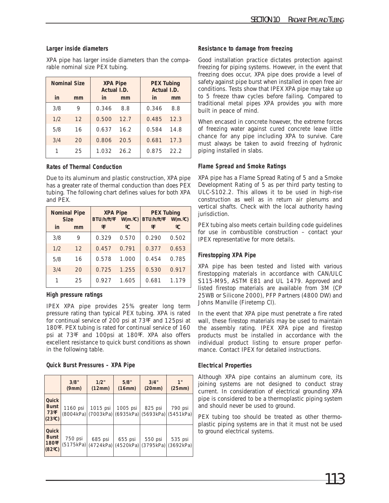#### **Larger inside diameters**

XPA pipe has larger inside diameters than the comparable nominal size PEX tubing.

| in  | <b>Nominal Size</b><br>mm | <b>XPA Pipe</b><br>Actual I.D.<br>in | mm   | <b>PEX Tubing</b><br>Actual I.D.<br>in.<br>mm |      |  |
|-----|---------------------------|--------------------------------------|------|-----------------------------------------------|------|--|
| 3/8 | 9                         | 0.346                                | 8.8  | 0.346                                         | 8.8  |  |
| 1/2 | 12                        | 0.500                                | 12.7 | 0.485                                         | 12.3 |  |
| 5/8 | 16                        | 0.637                                | 16.2 | 0.584                                         | 14.8 |  |
| 3/4 | 20                        | 0.806                                | 20.5 | 0.681                                         | 17.3 |  |
| 1   | 25                        | 1.032                                | 26.2 | 0.875                                         | 22.2 |  |

#### **Rates of Thermal Conduction**

Due to its aluminum and plastic construction, XPA pipe has a greater rate of thermal conduction than does PEX tubing. The following chart defines values for both XPA and PEX.

| <b>Nominal Pipe</b><br><b>Size</b> |    | <b>XPA Pipe</b><br>BTU/h/ft/°F |       | <b>PEX Tubing</b><br>$W(m.oC)$ BTU/h/ft/ <sup>o</sup> F<br>W(m. <sup>o</sup> C) |              |  |
|------------------------------------|----|--------------------------------|-------|---------------------------------------------------------------------------------|--------------|--|
| in                                 | mm | $^{\circ}$ F                   | °C    | $^{\circ}$ F                                                                    | $^{\circ}$ C |  |
| 3/8                                | 9  | 0.329                          | 0.570 | 0.290                                                                           | 0.502        |  |
| 1/2                                | 12 | 0.457                          | 0.791 | 0.377                                                                           | 0.653        |  |
| 5/8                                | 16 | 0.578                          | 1.000 | 0.454                                                                           | 0.785        |  |
| 3/4                                | 20 | 0.725                          | 1.255 | 0.530                                                                           | 0.917        |  |
|                                    | 25 | 0.927                          | 1.605 | 0.681                                                                           | 1.179        |  |

#### **High pressure ratings**

IPEX XPA pipe provides 25% greater long term pressure rating than typical PEX tubing. XPA is rated for continual service of 200 psi at 73ºF and 125psi at 180ºF. PEX tubing is rated for continual service of 160 psi at 73ºF and 100psi at 180ºF. XPA also offers excellent resistance to quick burst conditions as shown in the following table.

#### **Quick Burst Pressures – XPA Pipe**

|                                                    | 3/8"<br>(9mm) | 1/2"<br>(12mm)                            | 5/8"<br>(16mm)       | 3/4"<br>(20mm)       | 1"<br>(25mm)         |
|----------------------------------------------------|---------------|-------------------------------------------|----------------------|----------------------|----------------------|
| Quick<br><b>Burst</b><br>$73^{\circ}F$<br>(23°C)   | 1160 psi      | 1015 psi<br>(8004kPa) (7003kPa) (6935kPa) | 1005 psi             | 825 psi<br>(5693kPa) | 790 psi<br>(5451kPa) |
| Quick<br><b>Burst</b><br>$180^{\circ}$ F<br>(82°C) | 750 psi       | 685 psi<br>(5175kPa) (4724kPa)            | 655 psi<br>(4520kPa) | 550 psi<br>(3795kPa) | 535 psi<br>(3692kPa) |

#### **Resistance to damage from freezing**

Good installation practice dictates protection against freezing for piping systems. However, in the event that freezing does occur, XPA pipe does provide a level of safety against pipe burst when installed in open free air conditions. Tests show that IPEX XPA pipe may take up to 5 freeze thaw cycles before failing. Compared to traditional metal pipes XPA provides you with more built in peace of mind.

When encased in concrete however, the extreme forces of freezing water against cured concrete leave little chance for any pipe including XPA to survive. Care must always be taken to avoid freezing of hydronic piping installed in slabs.

#### **Flame Spread and Smoke Ratings**

XPA pipe has a Flame Spread Rating of 5 and a Smoke Development Rating of 5 as per third party testing to ULC-S102.2. This allows it to be used in high-rise construction as well as in return air plenums and vertical shafts. Check with the local authority having jurisdiction.

PEX tubing also meets certain building code guidelines for use in combustible construction – contact your IPEX representative for more details.

#### **Firestopping XPA Pipe**

XPA pipe has been tested and listed with various firestopping materials in accordance with CAN/ULC S115-M95, ASTM E81 and UL 1479. Approved and listed firestop materials are available from 3M (CP 25WB or Silicone 2000), PFP Partners (4800 DW) and Johns Manville (Firetemp Cl).

In the event that XPA pipe must penetrate a fire rated wall, these firestop materials may be used to maintain the assembly rating. IPEX XPA pipe and firestop products must be installed in accordance with the individual product listing to ensure proper performance. Contact IPEX for detailed instructions.

#### **Electrical Properties**

Although XPA pipe contains an aluminum core, its joining systems are not designed to conduct stray current. In consideration of electrical grounding XPA pipe is considered to be a thermoplastic piping system and should never be used to ground.

PEX tubing too should be treated as other thermoplastic piping systems are in that it must not be used to ground electrical systems.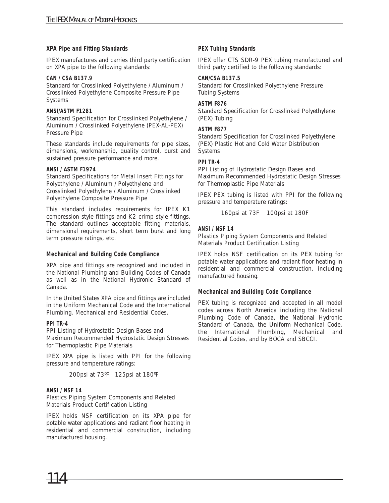#### **XPA Pipe and Fitting Standards**

IPEX manufactures and carries third party certification on XPA pipe to the following standards:

#### **CAN / CSA B137.9**

Standard for Crosslinked Polyethylene / Aluminum / Crosslinked Polyethylene Composite Pressure Pipe Systems

#### **ANSI/ASTM F1281**

Standard Specification for Crosslinked Polyethylene / Aluminum / Crosslinked Polyethylene (PEX-AL-PEX) Pressure Pipe

These standards include requirements for pipe sizes, dimensions, workmanship, quality control, burst and sustained pressure performance and more.

#### **ANSI / ASTM F1974**

Standard Specifications for Metal Insert Fittings for Polyethylene / Aluminum / Polyethylene and Crosslinked Polyethylene / Aluminum / Crosslinked Polyethylene Composite Pressure Pipe

This standard includes requirements for IPEX K1 compression style fittings and K2 crimp style fittings. The standard outlines acceptable fitting materials, dimensional requirements, short term burst and long term pressure ratings, etc.

#### **Mechanical and Building Code Compliance**

XPA pipe and fittings are recognized and included in the National Plumbing and Building Codes of Canada as well as in the National Hydronic Standard of Canada.

In the United States XPA pipe and fittings are included in the Uniform Mechanical Code and the International Plumbing, Mechanical and Residential Codes.

#### **PPI TR-4**

PPI Listing of Hydrostatic Design Bases and Maximum Recommended Hydrostatic Design Stresses for Thermoplastic Pipe Materials

IPEX XPA pipe is listed with PPI for the following pressure and temperature ratings:

200psi at 73ºF 125psi at 180ºF

#### **ANSI / NSF 14**

Plastics Piping System Components and Related Materials Product Certification Listing

IPEX holds NSF certification on its XPA pipe for potable water applications and radiant floor heating in residential and commercial construction, including manufactured housing.

#### **PEX Tubing Standards**

IPEX offer CTS SDR-9 PEX tubing manufactured and third party certified to the following standards:

#### **CAN/CSA B137.5**

Standard for Crosslinked Polyethylene Pressure Tubing Systems

#### **ASTM F876**

Standard Specification for Crosslinked Polyethylene (PEX) Tubing

#### **ASTM F877**

Standard Specification for Crosslinked Polyethylene (PEX) Plastic Hot and Cold Water Distribution Systems

#### **PPI TR-4**

PPI Listing of Hydrostatic Design Bases and Maximum Recommended Hydrostatic Design Stresses for Thermoplastic Pipe Materials

IPEX PEX tubing is listed with PPI for the following pressure and temperature ratings:

160psi at 73F 100psi at 180F

#### **ANSI / NSF 14**

Plastics Piping System Components and Related Materials Product Certification Listing

IPEX holds NSF certification on its PEX tubing for potable water applications and radiant floor heating in residential and commercial construction, including manufactured housing.

#### **Mechanical and Building Code Compliance**

PEX tubing is recognized and accepted in all model codes across North America including the National Plumbing Code of Canada, the National Hydronic Standard of Canada, the Uniform Mechanical Code, the International Plumbing, Mechanical and Residential Codes, and by BOCA and SBCCI.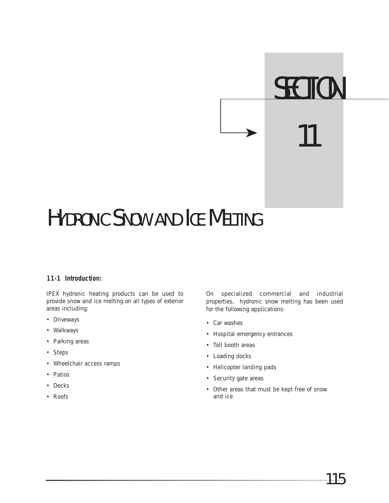## **SECTION** 11

### HYDRONIC SNOW AND ICE MELTING

#### **11-1 Introduction:**

IPEX hydronic heating products can be used to provide snow and ice melting on all types of exterior areas including:

- Driveways
- Walkways
- Parking areas
- Steps
- Wheelchair access ramps
- Patios
- Decks
- Roofs

On specialized commercial and industrial properties, hydronic snow melting has been used for the following applications:

- Car washes
- Hospital emergency entrances
- Toll booth areas
- Loading docks
- Helicopter landing pads
- Security gate areas
- Other areas that must be kept free of snow and ice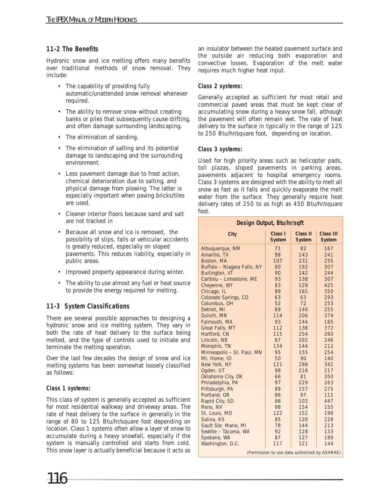#### **11-2 The Benefits**

Hydronic snow and ice melting offers many benefits over traditional methods of snow removal. They include:

- The capability of providing fully automatic/unattended snow removal whenever required.
- The ability to remove snow without creating banks or piles that subsequently cause drifting, and often damage surrounding landscaping.
- The elimination of sanding.
- The elimination of salting and its potential damage to landscaping and the surrounding environment.
- Less pavement damage due to frost action, chemical deterioration due to salting, and physical damage from plowing. The latter is especially important when paving bricks/tiles are used.
- Cleaner interior floors because sand and salt are not tracked in
- Because all snow and ice is removed, the possibility of slips, falls or vehicular accidents is greatly reduced, especially on sloped pavements. This reduces liability, especially in public areas.
- Improved property appearance during winter.
- The ability to use almost any fuel or heat source to provide the energy required for melting.

#### **11-3 System Classifications**

There are several possible approaches to designing a hydronic snow and ice melting system. They vary in both the rate of heat delivery to the surface being melted, and the type of controls used to initiate and terminate the melting operation.

Over the last few decades the design of snow and ice melting systems has been somewhat loosely classified as follows:

#### **Class 1 systems:**

This class of system is generally accepted as sufficient for most residential walkway and driveway areas. The rate of heat delivery to the surface in generally in the range of 80 to 125 Btu/hr/square foot depending on location. Class 1 systems often allow a layer of snow to accumulate during a heavy snowfall, especially if the system is manually controlled and starts from cold. This snow layer is actually beneficial because it acts as

116

an insulator between the heated pavement surface and the outside air reducing both evaporation and convective losses. Evaporation of the melt water requires much higher heat input.

#### **Class 2 systems:**

Generally accepted as sufficient for most retail and commercial paved areas that must be kept clear of accumulating snow during a heavy snow fall, although the pavement will often remain wet. The rate of heat delivery to the surface in typically in the range of 125 to 250 Btu/hr/square foot, depending on location.

#### **Class 3 systems:**

Used for high priority areas such as helicopter pads, toll plazas, sloped pavements in parking areas, pavements adjacent to hospital emergency rooms. Class 3 systems are designed with the ability to melt all snow as fast as it falls and quickly evaporate the melt water from the surface. They generally require heat delivery rates of 250 to as high as 450 Btu/hr/square foot.

| Design Output, Btu/hr/sqft                    |                          |                           |                                   |  |  |  |
|-----------------------------------------------|--------------------------|---------------------------|-----------------------------------|--|--|--|
| City                                          | Class I<br><b>System</b> | Class II<br><b>System</b> | <b>Class III</b><br><b>System</b> |  |  |  |
| Albuquerque, NM                               | 71                       | 82                        | 167                               |  |  |  |
| Amarillo, TX                                  | 98                       | 143                       | 241                               |  |  |  |
| Boston, MA                                    | 107                      | 231                       | 255                               |  |  |  |
| Buffalo - Niagara Falls, NY                   | 80                       | 192                       | 307                               |  |  |  |
| Burlington, VT                                | 90                       | 142                       | 244                               |  |  |  |
| Caribou - Limestone, ME                       | 93                       | 138                       | 307                               |  |  |  |
| Cheyenne, WY                                  | 83                       | 129                       | 425                               |  |  |  |
| Chicago, IL                                   | 89                       | 165                       | 350                               |  |  |  |
| Colorado Springs, CO                          | 63                       | 63                        | 293                               |  |  |  |
| Columbus, OH                                  | 52                       | 72                        | 253                               |  |  |  |
| Detroit, MI                                   | 69                       | 140                       | 255                               |  |  |  |
| Duluth, MN                                    | 114                      | 206                       | 374                               |  |  |  |
| Falmouth, MA                                  | 93                       | 144                       | 165                               |  |  |  |
| Great Falls, MT                               | 112                      | 138                       | 372                               |  |  |  |
| Hartford, CN                                  | 115                      | 254                       | 260                               |  |  |  |
| Lincoln, NB                                   | 67                       | 202                       | 246                               |  |  |  |
| Memphis, TN                                   | 134                      | 144                       | 212                               |  |  |  |
| Minneapolis - St. Paul, MN                    | 95                       | 155                       | 254                               |  |  |  |
| Mt. Home, ID                                  | 50                       | 90                        | 140                               |  |  |  |
| New York, NY                                  | 121                      | 298                       | 342                               |  |  |  |
| Ogden, UT                                     | 98                       | 216                       | 217                               |  |  |  |
| Oklahoma City, OK                             | 66                       | 81                        | 350                               |  |  |  |
| Philadelphia, PA                              | 97                       | 229                       | 263                               |  |  |  |
| Pittsburgh, PA                                | 89                       | 157                       | 275                               |  |  |  |
| Portland, OR                                  | 86                       | 97                        | 111                               |  |  |  |
| Rapid City, SD                                | 86                       | 102                       | 447                               |  |  |  |
| Reno, NV                                      | 98                       | 154                       | 155                               |  |  |  |
| St. Louis, MO                                 | 122                      | 152                       | 198                               |  |  |  |
| Salina, KS                                    | 85                       | 120                       | 228                               |  |  |  |
| Sault Ste. Marie, MI                          | 78                       | 144                       | 213<br>133                        |  |  |  |
| Seattle - Tacoma, WA                          |                          | 92<br>128                 |                                   |  |  |  |
| Spokane, WA                                   | 87                       | 127                       | 189                               |  |  |  |
| Washington, D.C.                              | 117                      | 121                       | 144                               |  |  |  |
| (Permission to use data authorized by ASHRAE) |                          |                           |                                   |  |  |  |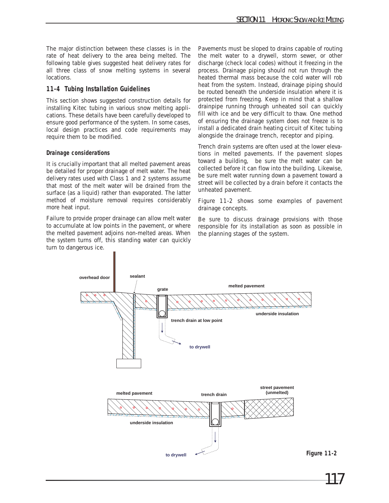The major distinction between these classes is in the rate of heat delivery to the area being melted. The following table gives suggested heat delivery rates for all three class of snow melting systems in several locations.

#### **11-4 Tubing Installation Guidelines**

This section shows suggested construction details for installing Kitec tubing in various snow melting applications. These details have been carefully developed to ensure good performance of the system. In some cases, local design practices and code requirements may require them to be modified.

#### **Drainage considerations**

It is crucially important that all melted pavement areas be detailed for proper drainage of melt water. The heat delivery rates used with Class 1 and 2 systems assume that most of the melt water will be drained from the surface (as a liquid) rather than evaporated. The latter method of moisture removal requires considerably more heat input.

Failure to provide proper drainage can allow melt water to accumulate at low points in the pavement, or where the melted pavement adjoins non-melted areas. When the system turns off, this standing water can quickly turn to dangerous ice.

Pavements must be sloped to drains capable of routing the melt water to a drywell, storm sewer, or other discharge (check local codes) without it freezing in the process. Drainage piping should not run through the heated thermal mass because the cold water will rob heat from the system. Instead, drainage piping should be routed beneath the underside insulation where it is protected from freezing. Keep in mind that a shallow drainpipe running through unheated soil can quickly fill with ice and be very difficult to thaw. One method of ensuring the drainage system does not freeze is to install a dedicated drain heating circuit of Kitec tubing alongside the drainage trench, receptor and piping.

Trench drain systems are often used at the lower elevations in melted pavements. If the pavement slopes toward a building, be sure the melt water can be collected before it can flow into the building. Likewise, be sure melt water running down a pavement toward a street will be collected by a drain before it contacts the unheated pavement.

Figure 11-2 shows some examples of pavement drainage concepts.

Be sure to discuss drainage provisions with those responsible for its installation as soon as possible in the planning stages of the system.

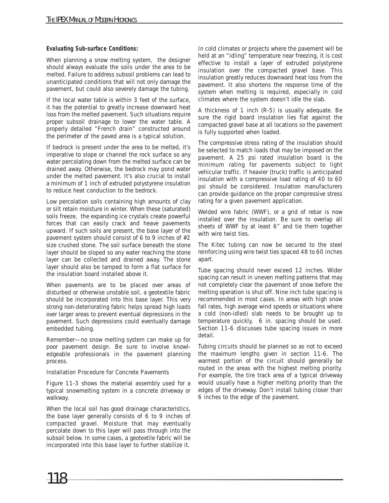#### **Evaluating Sub-surface Conditions:**

When planning a snow melting system, the designer should always evaluate the soils under the area to be melted. Failure to address subsoil problems can lead to unanticipated conditions that will not only damage the pavement, but could also severely damage the tubing.

If the local water table is within 3 feet of the surface, it has the potential to greatly increase downward heat loss from the melted pavement. Such situations require proper subsoil drainage to lower the water table. A properly detailed "French drain" constructed around the perimeter of the paved area is a typical solution.

If bedrock is present under the area to be melted, it's imperative to slope or channel the rock surface so any water percolating down from the melted surface can be drained away. Otherwise, the bedrock may pond water under the melted pavement. It's also crucial to install a minimum of 1 inch of extruded polystyrene insulation to reduce heat conduction to the bedrock.

Low percolation soils containing high amounts of clay or silt retain moisture in winter. When these (saturated) soils freeze, the expanding ice crystals create powerful forces that can easily crack and heave pavements upward. If such soils are present, the base layer of the pavement system should consist of 6 to 9 inches of #2 size crushed stone. The soil surface beneath the stone layer should be sloped so any water reaching the stone layer can be collected and drained away. The stone layer should also be tamped to form a flat surface for the insulation board installed above it.

When pavements are to be placed over areas of disturbed or otherwise unstable soil, a geotextile fabric should be incorporated into this base layer. This very strong non-deteriorating fabric helps spread high loads over larger areas to prevent eventual depressions in the pavement. Such depressions could eventually damage embedded tubing.

Remember—no snow melting system can make up for poor pavement design. Be sure to involve knowledgeable professionals in the pavement planning process.

Installation Procedure for Concrete Pavements

Figure 11-3 shows the material assembly used for a typical snowmelting system in a concrete driveway or walkway.

When the local soil has good drainage characteristics, the base layer generally consists of 6 to 9 inches of compacted gravel. Moisture that may eventually percolate down to this layer will pass through into the subsoil below. In some cases, a geotextile fabric will be incorporated into this base layer to further stabilize it.

In cold climates or projects where the pavement will be held at an "idling" temperature near freezing, it is cost effective to install a layer of extruded polystyrene insulation over the compacted gravel base. This insulation greatly reduces downward heat loss from the pavement. It also shortens the response time of the system when melting is required, especially in cold climates where the system doesn't idle the slab.

A thickness of 1 inch (R-5) is usually adequate. Be sure the rigid board insulation lies flat against the compacted gravel base at all locations so the pavement is fully supported when loaded.

The compressive stress rating of the insulation should be selected to match loads that may be imposed on the pavement. A 25 psi rated insulation board is the minimum rating for pavements subject to light vehicular traffic. If heavier (truck) traffic is anticipated insulation with a compressive load rating of 40 to 60 psi should be considered. Insulation manufacturers can provide guidance on the proper compressive stress rating for a given pavement application.

Welded wire fabric (WWF), or a grid of rebar is now installed over the insulation. Be sure to overlap all sheets of WWF by at least 6" and tie them together with wire twist ties.

The Kitec tubing can now be secured to the steel reinforcing using wire twist ties spaced 48 to 60 inches apart.

Tube spacing should never exceed 12 inches. Wider spacing can result in uneven melting patterns that may not completely clear the pavement of snow before the melting operation is shut off. Nine inch tube spacing is recommended in most cases. In areas with high snow fall rates, high average wind speeds or situations where a cold (non-idled) slab needs to be brought up to temperature quickly, 6 in. spacing should be used. Section 11-6 discusses tube spacing issues in more detail.

Tubing circuits should be planned so as not to exceed the maximum lengths given in section 11-6. The warmest portion of the circuit should generally be routed in the areas with the highest melting priority. For example, the tire track area of a typical driveway would usually have a higher melting priority than the edges of the driveway. Don't install tubing closer than 6 inches to the edge of the pavement.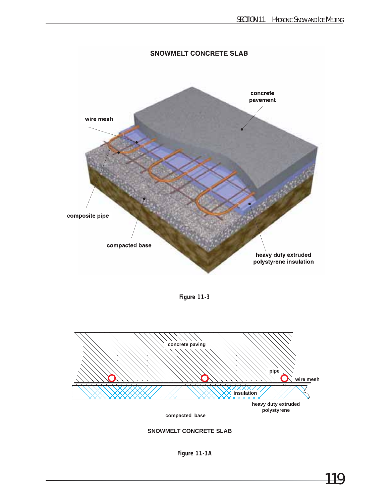

**Figure 11-3**



**SNOWMELT CONCRETE SLAB**

**Figure 11-3A**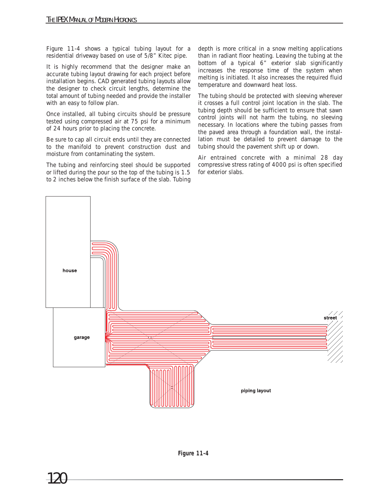Figure 11-4 shows a typical tubing layout for a residential driveway based on use of 5/8" Kitec pipe.

It is highly recommend that the designer make an accurate tubing layout drawing for each project before installation begins. CAD generated tubing layouts allow the designer to check circuit lengths, determine the total amount of tubing needed and provide the installer with an easy to follow plan.

Once installed, all tubing circuits should be pressure tested using compressed air at 75 psi for a minimum of 24 hours prior to placing the concrete.

Be sure to cap all circuit ends until they are connected to the manifold to prevent construction dust and moisture from contaminating the system.

The tubing and reinforcing steel should be supported or lifted during the pour so the top of the tubing is 1.5 to 2 inches below the finish surface of the slab. Tubing depth is more critical in a snow melting applications than in radiant floor heating. Leaving the tubing at the bottom of a typical 6" exterior slab significantly increases the response time of the system when melting is initiated. It also increases the required fluid temperature and downward heat loss.

The tubing should be protected with sleeving wherever it crosses a full control joint location in the slab. The tubing depth should be sufficient to ensure that sawn control joints will not harm the tubing, no sleeving necessary. In locations where the tubing passes from the paved area through a foundation wall, the installation must be detailed to prevent damage to the tubing should the pavement shift up or down.

Air entrained concrete with a minimal 28 day compressive stress rating of 4000 psi is often specified for exterior slabs.

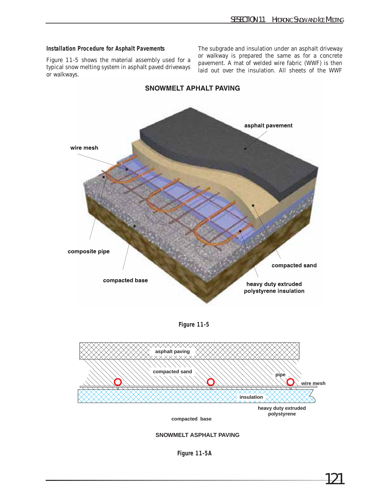#### **Installation Procedure for Asphalt Pavements**

Figure 11-5 shows the material assembly used for a typical snow melting system in asphalt paved driveways or walkways.

The subgrade and insulation under an asphalt driveway or walkway is prepared the same as for a concrete pavement. A mat of welded wire fabric (WWF) is then laid out over the insulation. All sheets of the WWF



**SNOWMELT APHALT PAVING** 





**SNOWMELT ASPHALT PAVING**

**Figure 11-5A**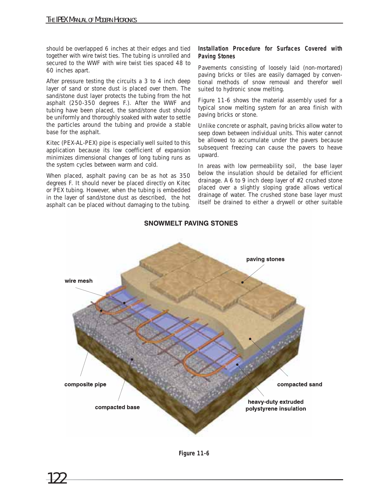should be overlapped 6 inches at their edges and tied together with wire twist ties. The tubing is unrolled and secured to the WWF with wire twist ties spaced 48 to 60 inches apart.

After pressure testing the circuits a 3 to 4 inch deep layer of sand or stone dust is placed over them. The sand/stone dust layer protects the tubing from the hot asphalt (250-350 degrees F.). After the WWF and tubing have been placed, the sand/stone dust should be uniformly and thoroughly soaked with water to settle the particles around the tubing and provide a stable base for the asphalt.

Kitec (PEX-AL-PEX) pipe is especially well suited to this application because its low coefficient of expansion minimizes dimensional changes of long tubing runs as the system cycles between warm and cold.

When placed, asphalt paving can be as hot as 350 degrees F. It should never be placed directly on Kitec or PEX tubing. However, when the tubing is embedded in the layer of sand/stone dust as described, the hot asphalt can be placed without damaging to the tubing.

#### **Installation Procedure for Surfaces Covered with Paving Stones**

Pavements consisting of loosely laid (non-mortared) paving bricks or tiles are easily damaged by conventional methods of snow removal and therefor well suited to hydronic snow melting.

Figure 11-6 shows the material assembly used for a typical snow melting system for an area finish with paving bricks or stone.

Unlike concrete or asphalt, paving bricks allow water to seep down between individual units. This water cannot be allowed to accumulate under the pavers because subsequent freezing can cause the pavers to heave upward.

In areas with low permeability soil, the base layer below the insulation should be detailed for efficient drainage. A 6 to 9 inch deep layer of #2 crushed stone placed over a slightly sloping grade allows vertical drainage of water. The crushed stone base layer must itself be drained to either a drywell or other suitable



#### **SNOWMELT PAVING STONES**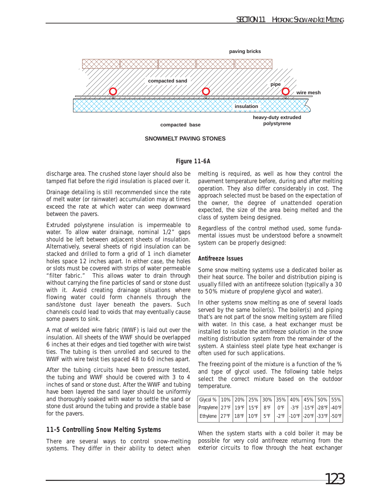

**SNOWMELT PAVING STONES**

#### **Figure 11-6A**

discharge area. The crushed stone layer should also be tamped flat before the rigid insulation is placed over it.

Drainage detailing is still recommended since the rate of melt water (or rainwater) accumulation may at times exceed the rate at which water can weep downward between the pavers.

Extruded polystyrene insulation is impermeable to water. To allow water drainage, nominal 1/2" gaps should be left between adjacent sheets of insulation. Alternatively, several sheets of rigid insulation can be stacked and drilled to form a grid of 1 inch diameter holes space 12 inches apart. In either case, the holes or slots must be covered with strips of water permeable "filter fabric." This allows water to drain through without carrying the fine particles of sand or stone dust with it. Avoid creating drainage situations where flowing water could form channels through the sand/stone dust layer beneath the pavers. Such channels could lead to voids that may eventually cause some pavers to sink.

A mat of welded wire fabric (WWF) is laid out over the insulation. All sheets of the WWF should be overlapped 6 inches at their edges and tied together with wire twist ties. The tubing is then unrolled and secured to the WWF with wire twist ties spaced 48 to 60 inches apart.

After the tubing circuits have been pressure tested, the tubing and WWF should be covered with 3 to 4 inches of sand or stone dust. After the WWF and tubing have been layered the sand layer should be uniformly and thoroughly soaked with water to settle the sand or stone dust around the tubing and provide a stable base for the pavers.

#### **11-5 Controlling Snow Melting Systems**

There are several ways to control snow-melting systems. They differ in their ability to detect when melting is required, as well as how they control the pavement temperature before, during and after melting operation. They also differ considerably in cost. The approach selected must be based on the expectation of the owner, the degree of unattended operation expected, the size of the area being melted and the class of system being designed.

Regardless of the control method used, some fundamental issues must be understood before a snowmelt system can be properly designed:

#### **Antifreeze Issues**

Some snow melting systems use a dedicated boiler as their heat source. The boiler and distribution piping is usually filled with an antifreeze solution (typically a 30 to 50% mixture of propylene glycol and water).

In other systems snow melting as one of several loads served by the same boiler(s). The boiler(s) and piping that's are not part of the snow melting system are filled with water. In this case, a heat exchanger must be installed to isolate the antifreeze solution in the snow melting distribution system from the remainder of the system. A stainless steel plate type heat exchanger is often used for such applications.

The freezing point of the mixture is a function of the % and type of glycol used. The following table helps select the correct mixture based on the outdoor temperature.

| Glycol %   10%   20%   25%   30%   35%   40%   45%   50%   55%           |  |  |  |  |  |
|--------------------------------------------------------------------------|--|--|--|--|--|
| Propylene 27°F   19°F   15°F   8°F   0°F   -3°F   -15°F   -28°F   -40°F  |  |  |  |  |  |
| Ethylene 27°F   18°F   10°F   5°F   -2°F   -10°F   -20°F   -33°F   -50°F |  |  |  |  |  |

When the system starts with a cold boiler it may be possible for very cold antifreeze returning from the exterior circuits to flow through the heat exchanger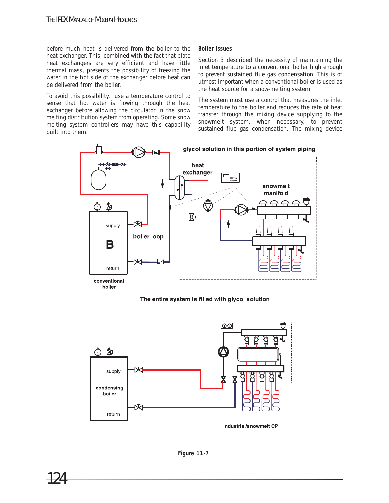before much heat is delivered from the boiler to the heat exchanger. This, combined with the fact that plate heat exchangers are very efficient and have little thermal mass, presents the possibility of freezing the water in the hot side of the exchanger before heat can be delivered from the boiler.

To avoid this possibility, use a temperature control to sense that hot water is flowing through the heat exchanger before allowing the circulator in the snow melting distribution system from operating. Some snow melting system controllers may have this capability built into them.

#### **Boiler Issues**

Section 3 described the necessity of maintaining the inlet temperature to a conventional boiler high enough to prevent sustained flue gas condensation. This is of utmost important when a conventional boiler is used as the heat source for a snow-melting system.

The system must use a control that measures the inlet temperature to the boiler and reduces the rate of heat transfer through the mixing device supplying to the snowmelt system, when necessary, to prevent sustained flue gas condensation. The mixing device



#### The entire system is filled with glycol solution

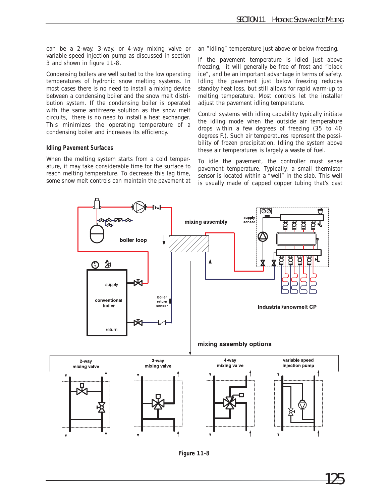can be a 2-way, 3-way, or 4-way mixing valve or variable speed injection pump as discussed in section 3 and shown in figure 11-8.

Condensing boilers are well suited to the low operating temperatures of hydronic snow melting systems. In most cases there is no need to install a mixing device between a condensing boiler and the snow melt distribution system. If the condensing boiler is operated with the same antifreeze solution as the snow melt circuits, there is no need to install a heat exchanger. This minimizes the operating temperature of a condensing boiler and increases its efficiency.

#### **Idling Pavement Surfaces**

When the melting system starts from a cold temperature, it may take considerable time for the surface to reach melting temperature. To decrease this lag time, some snow melt controls can maintain the pavement at an "idling" temperature just above or below freezing.

If the pavement temperature is idled just above freezing, it will generally be free of frost and "black ice", and be an important advantage in terms of safety. Idling the pavement just below freezing reduces standby heat loss, but still allows for rapid warm-up to melting temperature. Most controls let the installer adjust the pavement idling temperature.

Control systems with idling capability typically initiate the idling mode when the outside air temperature drops within a few degrees of freezing (35 to 40 degrees F.). Such air temperatures represent the possibility of frozen precipitation. Idling the system above these air temperatures is largely a waste of fuel.

To idle the pavement, the controller must sense pavement temperature. Typically, a small thermistor sensor is located within a "well" in the slab. This well is usually made of capped copper tubing that's cast



**Figure 11-8**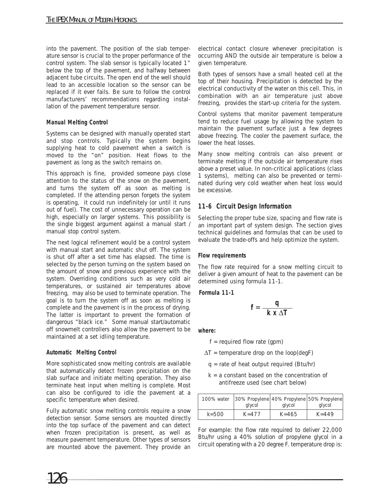into the pavement. The position of the slab temperature sensor is crucial to the proper performance of the control system. The slab sensor is typically located 1" below the top of the pavement, and halfway between adjacent tube circuits. The open end of the well should lead to an accessible location so the sensor can be replaced if it ever fails. Be sure to follow the control manufacturers' recommendations regarding installation of the pavement temperature sensor.

#### **Manual Melting Control**

Systems can be designed with manually operated start and stop controls. Typically the system begins supplying heat to cold pavement when a switch is moved to the "on" position. Heat flows to the pavement as long as the switch remains on.

This approach is fine, provided someone pays close attention to the status of the snow on the pavement, and turns the system off as soon as melting is completed. If the attending person forgets the system is operating, it could run indefinitely (or until it runs out of fuel). The cost of unnecessary operation can be high, especially on larger systems. This possibility is the single biggest argument against a manual start / manual stop control system.

The next logical refinement would be a control system with manual start and automatic shut off. The system is shut off after a set time has elapsed. The time is selected by the person turning on the system based on the amount of snow and previous experience with the system. Overriding conditions such as very cold air temperatures, or sustained air temperatures above freezing, may also be used to terminate operation. The goal is to turn the system off as soon as melting is complete and the pavement is in the process of drying. The latter is important to prevent the formation of dangerous "black ice." Some manual start/automatic off snowmelt controllers also allow the pavement to be maintained at a set idling temperature.

#### **Automatic Melting Control**

More sophisticated snow melting controls are available that automatically detect frozen precipitation on the slab surface and initiate melting operation. They also terminate heat input when melting is complete. Most can also be configured to idle the pavement at a specific temperature when desired.

Fully automatic snow melting controls require a snow detection sensor. Some sensors are mounted directly into the top surface of the pavement and can detect when frozen precipitation is present, as well as measure pavement temperature. Other types of sensors are mounted above the pavement. They provide an

electrical contact closure whenever precipitation is occurring AND the outside air temperature is below a given temperature.

Both types of sensors have a small heated cell at the top of their housing. Precipitation is detected by the electrical conductivity of the water on this cell. This, in combination with an air temperature just above freezing, provides the start-up criteria for the system.

Control systems that monitor pavement temperature tend to reduce fuel usage by allowing the system to maintain the pavement surface just a few degrees above freezing. The cooler the pavement surface, the lower the heat losses.

Many snow melting controls can also prevent or terminate melting if the outside air temperature rises above a preset value. In non-critical applications (class 1 systems), melting can also be prevented or terminated during very cold weather when heat loss would be excessive.

#### **11-6 Circuit Design Information**

Selecting the proper tube size, spacing and flow rate is an important part of system design. The section gives technical guidelines and formulas that can be used to evaluate the trade-offs and help optimize the system.

#### **Flow requirements**

The flow rate required for a snow melting circuit to deliver a given amount of heat to the pavement can be determined using formula 11-1.

#### **Formula 11-1**

$$
f = \frac{q}{-k \times \Delta T}
$$

**where:**

 $f = required flow rate (gpm)$ 

- $\Delta T$  = temperature drop on the loop(degF)
- $q =$  rate of heat output required (Btu/hr)
- $k = a$  constant based on the concentration of antifreeze used (see chart below)

| 100% water             |        | 30% Propylene 40% Propylene 50% Propylene |           |  |
|------------------------|--------|-------------------------------------------|-----------|--|
|                        | alvcol | glycol                                    | glycol    |  |
| $k = 500$<br>$K = 477$ |        | $K = 465$                                 | $K = 449$ |  |

For example: the flow rate required to deliver 22,000 Btu/hr using a 40% solution of propylene glycol in a circuit operating with a 20 degree F. temperature drop is: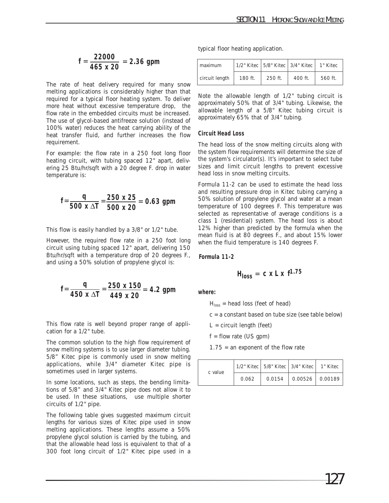typical floor heating application.

| $=$ | 22000    | $= 2.36$ gpm |
|-----|----------|--------------|
|     | 465 x 20 |              |

The rate of heat delivery required for many snow melting applications is considerably higher than that required for a typical floor heating system. To deliver more heat without excessive temperature drop, the flow rate in the embedded circuits must be increased. The use of glycol-based antifreeze solution (instead of 100% water) reduces the heat carrying ability of the heat transfer fluid, and further increases the flow requirement.

For example: the flow rate in a 250 foot long floor heating circuit, with tubing spaced 12" apart, delivering 25 Btu/hr/sqft with a 20 degree F. drop in water temperature is:

$$
f = \frac{q}{500 \times \Delta T} = \frac{250 \times 25}{500 \times 20} = 0.63 \text{ gpm}
$$

This flow is easily handled by a 3/8" or 1/2" tube.

However, the required flow rate in a 250 foot long circuit using tubing spaced 12" apart, delivering 150 Btu/hr/sqft with a temperature drop of 20 degrees F., and using a 50% solution of propylene glycol is:

$$
f = \frac{q}{450 \times \Delta T} = \frac{250 \times 150}{449 \times 20} = 4.2 \text{ gpm}
$$

This flow rate is well beyond proper range of application for a 1/2" tube.

The common solution to the high flow requirement of snow melting systems is to use larger diameter tubing. 5/8" Kitec pipe is commonly used in snow melting applications, while 3/4" diameter Kitec pipe is sometimes used in larger systems.

In some locations, such as steps, the bending limitations of 5/8" and 3/4" Kitec pipe does not allow it to be used. In these situations, use multiple shorter circuits of 1/2" pipe.

The following table gives suggested maximum circuit lengths for various sizes of Kitec pipe used in snow melting applications. These lengths assume a 50% propylene glycol solution is carried by the tubing, and that the allowable head loss is equivalent to that of a 300 foot long circuit of 1/2" Kitec pipe used in a

| maximum        |         |         | 1/2" Kitec   5/8" Kitec   3/4" Kitec | 1" Kitec |
|----------------|---------|---------|--------------------------------------|----------|
| circuit length | 180 ft. | 250 ft. | 400 ft.                              | 560 ft.  |

Note the allowable length of 1/2" tubing circuit is approximately 50% that of 3/4" tubing. Likewise, the allowable length of a 5/8" Kitec tubing circuit is approximately 65% that of 3/4" tubing.

#### **Circuit Head Loss**

The head loss of the snow melting circuits along with the system flow requirements will determine the size of the system's circulator(s). It's important to select tube sizes and limit circuit lengths to prevent excessive head loss in snow melting circuits.

Formula 11-2 can be used to estimate the head loss and resulting pressure drop in Kitec tubing carrying a 50% solution of propylene glycol and water at a mean temperature of 100 degrees F. This temperature was selected as representative of average conditions is a class 1 (residential) system. The head loss is about 12% higher than predicted by the formula when the mean fluid is at 80 degrees F., and about 15% lower when the fluid temperature is 140 degrees F.

#### **Formula 11-2**

$$
Hloss = c x L x f1.75
$$

**where:** 

 $H<sub>loss</sub>$  = head loss (feet of head)

 $c = a$  constant based on tube size (see table below)

 $L =$  circuit length (feet)

 $f = flow$  rate (US gpm)

 $1.75$  = an exponent of the flow rate

| c value |       | 1/2" Kitec   5/8" Kitec   3/4" Kitec   1" Kitec |                                         |  |
|---------|-------|-------------------------------------------------|-----------------------------------------|--|
|         | 0.062 | 0.0154                                          | $\vert$ 0.00526 $\vert$ 0.00189 $\vert$ |  |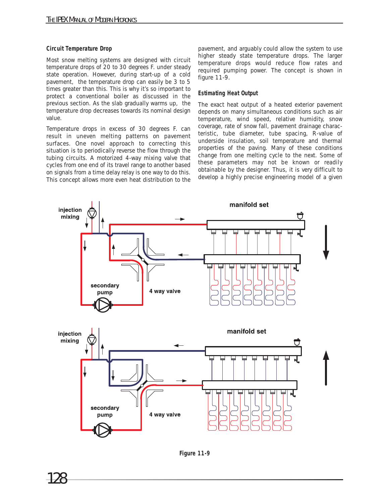#### **Circuit Temperature Drop**

Most snow melting systems are designed with circuit temperature drops of 20 to 30 degrees F. under steady state operation. However, during start-up of a cold pavement, the temperature drop can easily be 3 to 5 times greater than this. This is why it's so important to protect a conventional boiler as discussed in the previous section. As the slab gradually warms up, the temperature drop decreases towards its nominal design value.

Temperature drops in excess of 30 degrees F. can result in uneven melting patterns on pavement surfaces. One novel approach to correcting this situation is to periodically reverse the flow through the tubing circuits. A motorized 4-way mixing valve that cycles from one end of its travel range to another based on signals from a time delay relay is one way to do this. This concept allows more even heat distribution to the

pavement, and arguably could allow the system to use higher steady state temperature drops. The larger temperature drops would reduce flow rates and required pumping power. The concept is shown in figure 11-9.

#### **Estimating Heat Output**

The exact heat output of a heated exterior pavement depends on many simultaneous conditions such as air temperature, wind speed, relative humidity, snow coverage, rate of snow fall, pavement drainage characteristic, tube diameter, tube spacing, R-value of underside insulation, soil temperature and thermal properties of the paving. Many of these conditions change from one melting cycle to the next. Some of these parameters may not be known or readily obtainable by the designer. Thus, it is very difficult to develop a highly precise engineering model of a given



**Figure 11-9**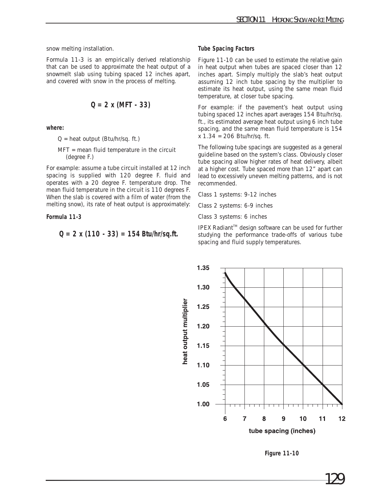snow melting installation.

Formula 11-3 is an empirically derived relationship that can be used to approximate the heat output of a snowmelt slab using tubing spaced 12 inches apart, and covered with snow in the process of melting.

$$
Q = 2 \times (MFT - 33)
$$

**where:**

 $Q =$  heat output (Btu/hr/sq. ft.)

MFT = mean fluid temperature in the circuit (degree F.)

For example: assume a tube circuit installed at 12 inch spacing is supplied with 120 degree F. fluid and operates with a 20 degree F. temperature drop. The mean fluid temperature in the circuit is 110 degrees F. When the slab is covered with a film of water (from the melting snow), its rate of heat output is approximately:

**Formula 11-3**

$$
Q = 2 \times (110 - 33) = 154
$$
 Btu/hr/sq.fr.

#### **Tube Spacing Factors**

Figure 11-10 can be used to estimate the relative gain in heat output when tubes are spaced closer than 12 inches apart. Simply multiply the slab's heat output assuming 12 inch tube spacing by the multiplier to estimate its heat output, using the same mean fluid temperature, at closer tube spacing.

For example: if the pavement's heat output using tubing spaced 12 inches apart averages 154 Btu/hr/sq. ft., its estimated average heat output using 6 inch tube spacing, and the same mean fluid temperature is 154 x 1.34 = 206 Btu/hr/sq. ft.

The following tube spacings are suggested as a general guideline based on the system's class. Obviously closer tube spacing allow higher rates of heat delivery, albeit at a higher cost. Tube spaced more than 12" apart can lead to excessively uneven melting patterns, and is not recommended.

Class 1 systems: 9-12 inches

Class 2 systems: 6-9 inches

Class 3 systems: 6 inches

IPEX Radiant™ design software can be used for further studying the performance trade-offs of various tube spacing and fluid supply temperatures.



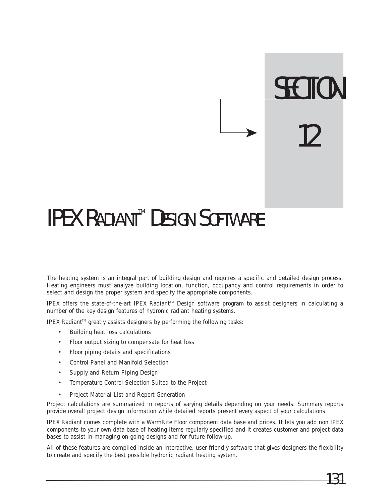## **IPEX RADIANT<sup>™</sup> DESIGN SOFTWARE**

The heating system is an integral part of building design and requires a specific and detailed design process. Heating engineers must analyze building location, function, occupancy and control requirements in order to select and design the proper system and specify the appropriate components.

IPEX offers the state-of-the-art IPEX Radiant™ Design software program to assist designers in calculating a number of the key design features of hydronic radiant heating systems.

IPEX Radiant™ greatly assists designers by performing the following tasks:

- Building heat loss calculations
- Floor output sizing to compensate for heat loss
- Floor piping details and specifications
- Control Panel and Manifold Selection
- Supply and Return Piping Design
- Temperature Control Selection Suited to the Project
- Project Material List and Report Generation

Project calculations are summarized in reports of varying details depending on your needs. Summary reports provide overall project design information while detailed reports present every aspect of your calculations.

IPEX Radiant comes complete with a WarmRite Floor component data base and prices. It lets you add non IPEX components to your own data base of heating items regularly specified and it creates customer and project data bases to assist in managing on-going designs and for future follow-up.

All of these features are compiled inside an interactive, user friendly software that gives designers the flexibility to create and specify the best possible hydronic radiant heating system.

**SECTION** 

12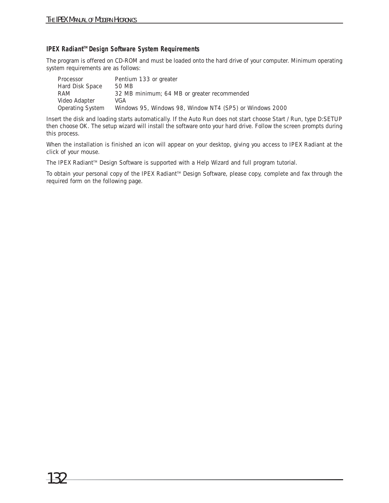#### **IPEX Radiant™ Design Software System Requirements**

The program is offered on CD-ROM and must be loaded onto the hard drive of your computer. Minimum operating system requirements are as follows:

| Processor        | Pentium 133 or greater                                   |
|------------------|----------------------------------------------------------|
| Hard Disk Space  | 50 MB                                                    |
| RAM              | 32 MB minimum; 64 MB or greater recommended              |
| Video Adapter    | VGA                                                      |
| Operating System | Windows 95, Windows 98, Window NT4 (SP5) or Windows 2000 |

Insert the disk and loading starts automatically. If the Auto Run does not start choose Start / Run, type D:SETUP then choose OK. The setup wizard will install the software onto your hard drive. Follow the screen prompts during this process.

When the installation is finished an icon will appear on your desktop, giving you access to IPEX Radiant at the click of your mouse.

The IPEX Radiant<sup>™</sup> Design Software is supported with a Help Wizard and full program tutorial.

To obtain your personal copy of the IPEX Radiant™ Design Software, please copy, complete and fax through the required form on the following page.